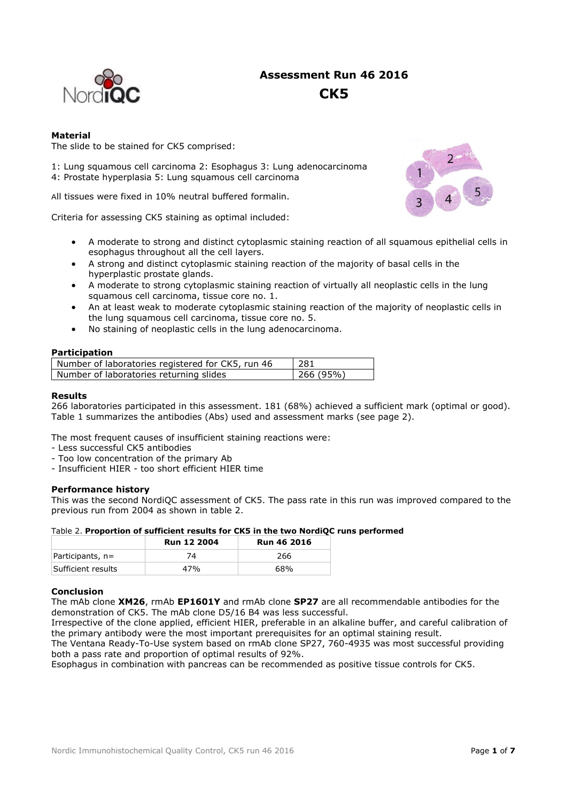

# **Assessment Run 46 2016 CK5**

### **Material**

The slide to be stained for CK5 comprised:

1: Lung squamous cell carcinoma 2: Esophagus 3: Lung adenocarcinoma 4: Prostate hyperplasia 5: Lung squamous cell carcinoma

All tissues were fixed in 10% neutral buffered formalin.

Criteria for assessing CK5 staining as optimal included:

- A moderate to strong and distinct cytoplasmic staining reaction of all squamous epithelial cells in esophagus throughout all the cell layers.
- A strong and distinct cytoplasmic staining reaction of the majority of basal cells in the hyperplastic prostate glands.
- A moderate to strong cytoplasmic staining reaction of virtually all neoplastic cells in the lung squamous cell carcinoma, tissue core no. 1.
- An at least weak to moderate cytoplasmic staining reaction of the majority of neoplastic cells in the lung squamous cell carcinoma, tissue core no. 5.
- No staining of neoplastic cells in the lung adenocarcinoma.

#### **Participation**

| Number of laboratories registered for CK5, run 46 | -281     |
|---------------------------------------------------|----------|
| Number of laboratories returning slides           | 266(95%) |

#### **Results**

266 laboratories participated in this assessment. 181 (68%) achieved a sufficient mark (optimal or good). Table 1 summarizes the antibodies (Abs) used and assessment marks (see page 2).

The most frequent causes of insufficient staining reactions were:

- Less successful CK5 antibodies
- Too low concentration of the primary Ab
- Insufficient HIER too short efficient HIER time

#### **Performance history**

This was the second NordiQC assessment of CK5. The pass rate in this run was improved compared to the previous run from 2004 as shown in table 2.

#### Table 2. **Proportion of sufficient results for CK5 in the two NordiQC runs performed**

|                    | <b>Run 12 2004</b> | <b>Run 46 2016</b> |  |  |
|--------------------|--------------------|--------------------|--|--|
| $Participants, n=$ |                    | 266                |  |  |
| Sufficient results | 47%                | 68%                |  |  |

#### **Conclusion**

The mAb clone **XM26**, rmAb **EP1601Y** and rmAb clone **SP27** are all recommendable antibodies for the demonstration of CK5. The mAb clone D5/16 B4 was less successful.

Irrespective of the clone applied, efficient HIER, preferable in an alkaline buffer, and careful calibration of the primary antibody were the most important prerequisites for an optimal staining result.

The Ventana Ready-To-Use system based on rmAb clone SP27, 760-4935 was most successful providing both a pass rate and proportion of optimal results of 92%.

Esophagus in combination with pancreas can be recommended as positive tissue controls for CK5.

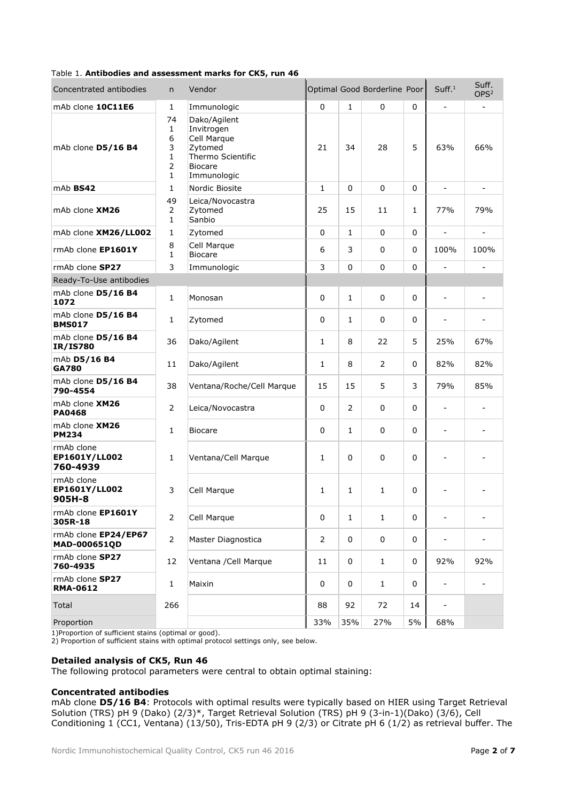## Table 1. **Antibodies and assessment marks for CK5, run 46**

| Concentrated antibodies                 | n.                                                                             | Vendor                                                                                                     |                |                | Optimal Good Borderline Poor |              | Suff. <sup>1</sup>           | Suff.<br>OPS <sup>2</sup> |
|-----------------------------------------|--------------------------------------------------------------------------------|------------------------------------------------------------------------------------------------------------|----------------|----------------|------------------------------|--------------|------------------------------|---------------------------|
| mAb clone 10C11E6                       | $\mathbf{1}$                                                                   | Immunologic                                                                                                | 0              | $\mathbf{1}$   | $\mathbf 0$                  | 0            | $\overline{\phantom{a}}$     |                           |
| mAb clone D5/16 B4                      | 74<br>$\mathbf{1}$<br>6<br>3<br>$\mathbf{1}$<br>$\overline{2}$<br>$\mathbf{1}$ | Dako/Agilent<br>Invitrogen<br>Cell Marque<br>Zytomed<br>Thermo Scientific<br><b>Biocare</b><br>Immunologic | 21             | 34             | 28                           | 5            | 63%                          | 66%                       |
| mAb BS42                                | $\mathbf{1}$                                                                   | Nordic Biosite                                                                                             | $\mathbf{1}$   | $\Omega$       | $\mathbf 0$                  | 0            | $\overline{a}$               |                           |
| mAb clone XM26                          | 49<br>$\overline{2}$<br>$\mathbf{1}$                                           | Leica/Novocastra<br>Zytomed<br>Sanbio                                                                      | 25             | 15             | 11                           | $\mathbf{1}$ | 77%                          | 79%                       |
| mAb clone XM26/LL002                    | $\mathbf{1}$                                                                   | Zytomed                                                                                                    | 0              | $\mathbf{1}$   | $\mathbf 0$                  | 0            | $\overline{a}$               | $\blacksquare$            |
| rmAb clone EP1601Y                      | 8<br>$\mathbf{1}$                                                              | Cell Marque<br><b>Biocare</b>                                                                              | 6              | 3              | $\mathbf 0$                  | 0            | 100%                         | 100%                      |
| rmAb clone SP27                         | 3                                                                              | Immunologic                                                                                                | 3              | $\Omega$       | $\mathbf 0$                  | 0            | $\overline{a}$               |                           |
| Ready-To-Use antibodies                 |                                                                                |                                                                                                            |                |                |                              |              |                              |                           |
| mAb clone D5/16 B4<br>1072              | $\mathbf{1}$                                                                   | Monosan                                                                                                    | 0              | 1              | $\mathbf 0$                  | 0            | $\overline{a}$               |                           |
| mAb clone D5/16 B4<br><b>BMS017</b>     | 1                                                                              | Zytomed                                                                                                    | 0              | $\mathbf{1}$   | 0                            | 0            | $\overline{\phantom{a}}$     |                           |
| mAb clone D5/16 B4<br><b>IR/IS780</b>   | 36                                                                             | Dako/Agilent                                                                                               | $\mathbf{1}$   | 8              | 22                           | 5            | 25%                          | 67%                       |
| mAb D5/16 B4<br><b>GA780</b>            | 11                                                                             | Dako/Agilent                                                                                               | $\mathbf{1}$   | 8              | $\overline{2}$               | 0            | 82%                          | 82%                       |
| mAb clone D5/16 B4<br>790-4554          | 38                                                                             | Ventana/Roche/Cell Marque                                                                                  | 15             | 15             | 5                            | 3            | 79%                          | 85%                       |
| mAb clone XM26<br><b>PA0468</b>         | $\overline{2}$                                                                 | Leica/Novocastra                                                                                           | 0              | $\overline{2}$ | $\mathbf 0$                  | 0            | $\overline{\phantom{a}}$     |                           |
| mAb clone XM26<br><b>PM234</b>          | $\mathbf{1}$                                                                   | <b>Biocare</b>                                                                                             | 0              | $\mathbf{1}$   | $\mathbf 0$                  | 0            | $\qquad \qquad \blacksquare$ |                           |
| rmAb clone<br>EP1601Y/LL002<br>760-4939 | $\mathbf{1}$                                                                   | Ventana/Cell Marque                                                                                        | 1              | 0              | 0                            | 0            |                              |                           |
| rmAb clone<br>EP1601Y/LL002<br>905H-8   | 3                                                                              | Cell Marque                                                                                                | $\mathbf{1}$   | 1              | $\mathbf{1}$                 | 0            |                              |                           |
| rmAb clone EP1601Y<br>305R-18           | $\overline{2}$                                                                 | Cell Marque                                                                                                | 0              | $\mathbf{1}$   | $\mathbf{1}$                 | 0            | $\overline{\phantom{a}}$     |                           |
| rmAb clone EP24/EP67<br>MAD-000651QD    | $\overline{2}$                                                                 | Master Diagnostica                                                                                         | $\overline{2}$ | 0              | 0                            | 0            | $\overline{\phantom{a}}$     | $\overline{\phantom{a}}$  |
| rmAb clone SP27<br>760-4935             | 12                                                                             | Ventana / Cell Marque                                                                                      | 11             | 0              | $\mathbf{1}$                 | 0            | 92%                          | 92%                       |
| rmAb clone SP27<br><b>RMA-0612</b>      | $\mathbf{1}$                                                                   | Maixin                                                                                                     | 0              | 0              | $\mathbf{1}$                 | 0            | $\overline{\phantom{a}}$     | $\overline{\phantom{a}}$  |
| Total                                   | 266                                                                            |                                                                                                            | 88             | 92             | 72                           | 14           | $\overline{\phantom{a}}$     |                           |
| Proportion                              |                                                                                |                                                                                                            | 33%            | 35%            | 27%                          | 5%           | 68%                          |                           |

1)Proportion of sufficient stains (optimal or good).

2) Proportion of sufficient stains with optimal protocol settings only, see below.

# **Detailed analysis of CK5, Run 46**

The following protocol parameters were central to obtain optimal staining:

#### **Concentrated antibodies**

mAb clone **D5/16 B4**: Protocols with optimal results were typically based on HIER using Target Retrieval Solution (TRS) pH 9 (Dako) (2/3)\*, Target Retrieval Solution (TRS) pH 9 (3-in-1)(Dako) (3/6), Cell Conditioning 1 (CC1, Ventana) (13/50), Tris-EDTA pH 9 (2/3) or Citrate pH 6 (1/2) as retrieval buffer. The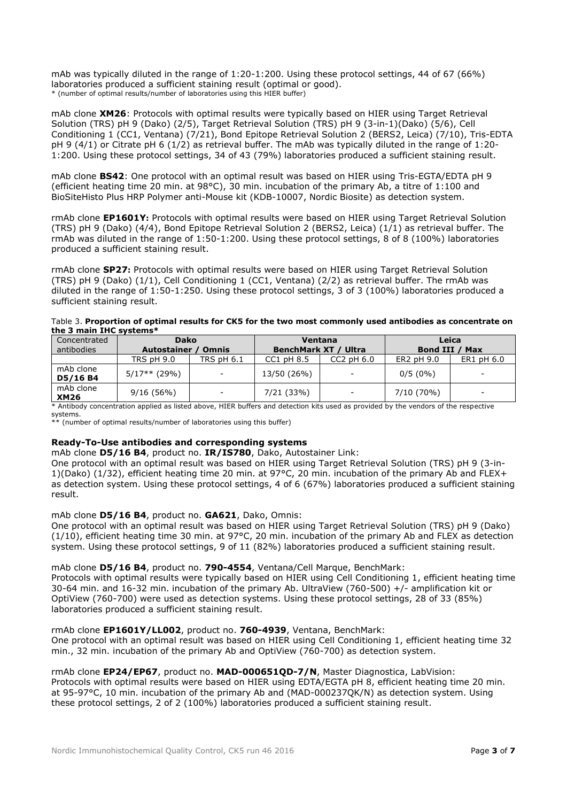mAb was typically diluted in the range of 1:20-1:200. Using these protocol settings, 44 of 67 (66%) laboratories produced a sufficient staining result (optimal or good). \* (number of optimal results/number of laboratories using this HIER buffer)

mAb clone **XM26**: Protocols with optimal results were typically based on HIER using Target Retrieval Solution (TRS) pH 9 (Dako) (2/5), Target Retrieval Solution (TRS) pH 9 (3-in-1)(Dako) (5/6), Cell Conditioning 1 (CC1, Ventana) (7/21), Bond Epitope Retrieval Solution 2 (BERS2, Leica) (7/10), Tris-EDTA pH 9 (4/1) or Citrate pH 6 (1/2) as retrieval buffer. The mAb was typically diluted in the range of 1:20- 1:200. Using these protocol settings, 34 of 43 (79%) laboratories produced a sufficient staining result.

mAb clone **BS42**: One protocol with an optimal result was based on HIER using Tris-EGTA/EDTA pH 9 (efficient heating time 20 min. at 98°C), 30 min. incubation of the primary Ab, a titre of 1:100 and BioSiteHisto Plus HRP Polymer anti-Mouse kit (KDB-10007, Nordic Biosite) as detection system.

rmAb clone **EP1601Y:** Protocols with optimal results were based on HIER using Target Retrieval Solution (TRS) pH 9 (Dako) (4/4), Bond Epitope Retrieval Solution 2 (BERS2, Leica) (1/1) as retrieval buffer. The rmAb was diluted in the range of 1:50-1:200. Using these protocol settings, 8 of 8 (100%) laboratories produced a sufficient staining result.

rmAb clone **SP27:** Protocols with optimal results were based on HIER using Target Retrieval Solution (TRS) pH 9 (Dako) (1/1), Cell Conditioning 1 (CC1, Ventana) (2/2) as retrieval buffer. The rmAb was diluted in the range of 1:50-1:250. Using these protocol settings, 3 of 3 (100%) laboratories produced a sufficient staining result.

Table 3. **Proportion of optimal results for CK5 for the two most commonly used antibodies as concentrate on the 3 main IHC systems\***

| Concentrated             | <b>Dako</b>                   |                          | Ventana                     |                          | Leica             |                          |  |
|--------------------------|-------------------------------|--------------------------|-----------------------------|--------------------------|-------------------|--------------------------|--|
| antibodies               | Autostainer /<br><b>Omnis</b> |                          | <b>BenchMark XT / Ultra</b> |                          | Bond III /<br>Max |                          |  |
|                          | <b>TRS pH 9.0</b>             | <b>TRS pH 6.1</b>        | $CC1$ pH $8.5$              | $CC2$ pH $6.0$           | ER2 pH 9.0        | ER1 pH 6.0               |  |
| mAb clone<br>D5/16 B4    | $5/17**$ (29%)                | $\overline{\phantom{a}}$ | 13/50 (26%)                 | $\overline{\phantom{a}}$ | $0/5(0\%)$        | $\overline{\phantom{a}}$ |  |
| mAb clone<br><b>XM26</b> | 9/16(56%)                     | $\overline{\phantom{a}}$ | 7/21 (33%)                  | $\overline{\phantom{a}}$ | 7/10 (70%)        | $\overline{\phantom{0}}$ |  |

\* Antibody concentration applied as listed above, HIER buffers and detection kits used as provided by the vendors of the respective systems.

\* (number of optimal results/number of laboratories using this buffer)

# **Ready-To-Use antibodies and corresponding systems**

mAb clone **D5/16 B4**, product no. **IR/IS780**, Dako, Autostainer Link:

One protocol with an optimal result was based on HIER using Target Retrieval Solution (TRS) pH 9 (3-in-1)(Dako) (1/32), efficient heating time 20 min. at 97°C, 20 min. incubation of the primary Ab and FLEX+ as detection system. Using these protocol settings, 4 of 6 (67%) laboratories produced a sufficient staining result.

## mAb clone **D5/16 B4**, product no. **GA621**, Dako, Omnis:

One protocol with an optimal result was based on HIER using Target Retrieval Solution (TRS) pH 9 (Dako) (1/10), efficient heating time 30 min. at 97°C, 20 min. incubation of the primary Ab and FLEX as detection system. Using these protocol settings, 9 of 11 (82%) laboratories produced a sufficient staining result.

mAb clone **D5/16 B4**, product no. **790-4554**, Ventana/Cell Marque, BenchMark:

Protocols with optimal results were typically based on HIER using Cell Conditioning 1, efficient heating time 30-64 min. and 16-32 min. incubation of the primary Ab. UltraView (760-500) +/- amplification kit or OptiView (760-700) were used as detection systems. Using these protocol settings, 28 of 33 (85%) laboratories produced a sufficient staining result.

## rmAb clone **EP1601Y/LL002**, product no. **760-4939**, Ventana, BenchMark:

One protocol with an optimal result was based on HIER using Cell Conditioning 1, efficient heating time 32 min., 32 min. incubation of the primary Ab and OptiView (760-700) as detection system.

# rmAb clone **EP24/EP67**, product no. **MAD-000651QD-7/N**, Master Diagnostica, LabVision:

Protocols with optimal results were based on HIER using EDTA/EGTA pH 8, efficient heating time 20 min. at 95-97°C, 10 min. incubation of the primary Ab and (MAD-000237QK/N) as detection system. Using these protocol settings, 2 of 2 (100%) laboratories produced a sufficient staining result.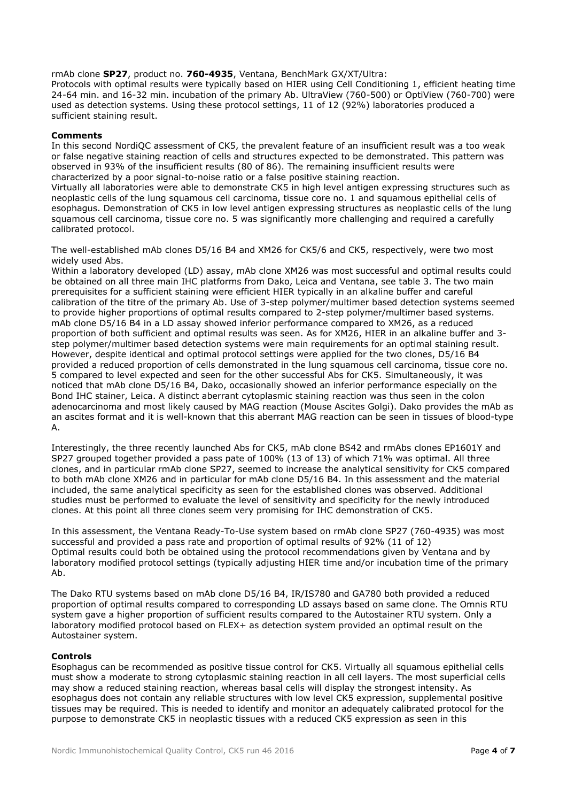rmAb clone **SP27**, product no. **760-4935**, Ventana, BenchMark GX/XT/Ultra:

Protocols with optimal results were typically based on HIER using Cell Conditioning 1, efficient heating time 24-64 min. and 16-32 min. incubation of the primary Ab. UltraView (760-500) or OptiView (760-700) were used as detection systems. Using these protocol settings, 11 of 12 (92%) laboratories produced a sufficient staining result.

### **Comments**

In this second NordiQC assessment of CK5, the prevalent feature of an insufficient result was a too weak or false negative staining reaction of cells and structures expected to be demonstrated. This pattern was observed in 93% of the insufficient results (80 of 86). The remaining insufficient results were characterized by a poor signal-to-noise ratio or a false positive staining reaction.

Virtually all laboratories were able to demonstrate CK5 in high level antigen expressing structures such as neoplastic cells of the lung squamous cell carcinoma, tissue core no. 1 and squamous epithelial cells of esophagus. Demonstration of CK5 in low level antigen expressing structures as neoplastic cells of the lung squamous cell carcinoma, tissue core no. 5 was significantly more challenging and required a carefully calibrated protocol.

The well-established mAb clones D5/16 B4 and XM26 for CK5/6 and CK5, respectively, were two most widely used Abs.

Within a laboratory developed (LD) assay, mAb clone XM26 was most successful and optimal results could be obtained on all three main IHC platforms from Dako, Leica and Ventana, see table 3. The two main prerequisites for a sufficient staining were efficient HIER typically in an alkaline buffer and careful calibration of the titre of the primary Ab. Use of 3-step polymer/multimer based detection systems seemed to provide higher proportions of optimal results compared to 2-step polymer/multimer based systems. mAb clone D5/16 B4 in a LD assay showed inferior performance compared to XM26, as a reduced proportion of both sufficient and optimal results was seen. As for XM26, HIER in an alkaline buffer and 3 step polymer/multimer based detection systems were main requirements for an optimal staining result. However, despite identical and optimal protocol settings were applied for the two clones, D5/16 B4 provided a reduced proportion of cells demonstrated in the lung squamous cell carcinoma, tissue core no. 5 compared to level expected and seen for the other successful Abs for CK5. Simultaneously, it was noticed that mAb clone D5/16 B4, Dako, occasionally showed an inferior performance especially on the Bond IHC stainer, Leica. A distinct aberrant cytoplasmic staining reaction was thus seen in the colon adenocarcinoma and most likely caused by MAG reaction (Mouse Ascites Golgi). Dako provides the mAb as an ascites format and it is well-known that this aberrant MAG reaction can be seen in tissues of blood-type A.

Interestingly, the three recently launched Abs for CK5, mAb clone BS42 and rmAbs clones EP1601Y and SP27 grouped together provided a pass pate of 100% (13 of 13) of which 71% was optimal. All three clones, and in particular rmAb clone SP27, seemed to increase the analytical sensitivity for CK5 compared to both mAb clone XM26 and in particular for mAb clone D5/16 B4. In this assessment and the material included, the same analytical specificity as seen for the established clones was observed. Additional studies must be performed to evaluate the level of sensitivity and specificity for the newly introduced clones. At this point all three clones seem very promising for IHC demonstration of CK5.

In this assessment, the Ventana Ready-To-Use system based on rmAb clone SP27 (760-4935) was most successful and provided a pass rate and proportion of optimal results of 92% (11 of 12) Optimal results could both be obtained using the protocol recommendations given by Ventana and by laboratory modified protocol settings (typically adjusting HIER time and/or incubation time of the primary Ab.

The Dako RTU systems based on mAb clone D5/16 B4, IR/IS780 and GA780 both provided a reduced proportion of optimal results compared to corresponding LD assays based on same clone. The Omnis RTU system gave a higher proportion of sufficient results compared to the Autostainer RTU system. Only a laboratory modified protocol based on FLEX+ as detection system provided an optimal result on the Autostainer system.

#### **Controls**

Esophagus can be recommended as positive tissue control for CK5. Virtually all squamous epithelial cells must show a moderate to strong cytoplasmic staining reaction in all cell layers. The most superficial cells may show a reduced staining reaction, whereas basal cells will display the strongest intensity. As esophagus does not contain any reliable structures with low level CK5 expression, supplemental positive tissues may be required. This is needed to identify and monitor an adequately calibrated protocol for the purpose to demonstrate CK5 in neoplastic tissues with a reduced CK5 expression as seen in this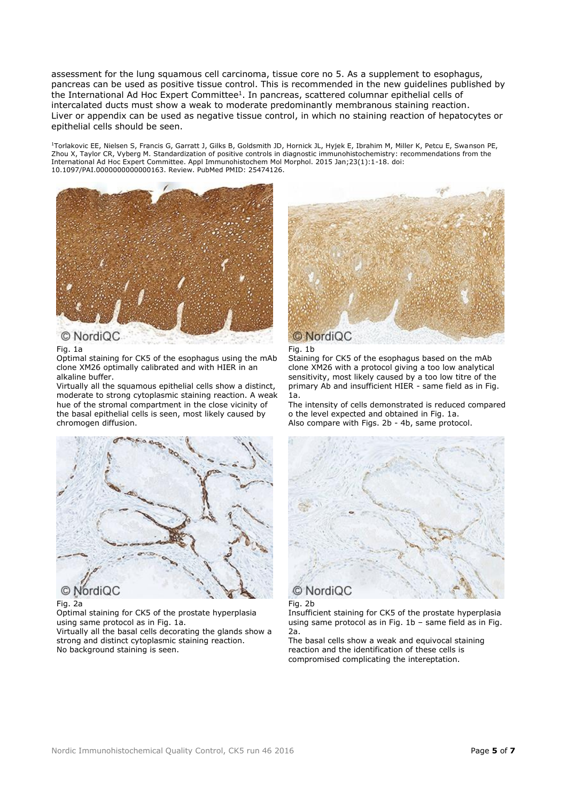assessment for the lung squamous cell carcinoma, tissue core no 5. As a supplement to esophagus, pancreas can be used as positive tissue control. This is recommended in the new guidelines published by the International Ad Hoc Expert Committee<sup>1</sup>. In pancreas, scattered columnar epithelial cells of intercalated ducts must show a weak to moderate predominantly membranous staining reaction. Liver or appendix can be used as negative tissue control, in which no staining reaction of hepatocytes or epithelial cells should be seen.

<sup>1</sup>Torlakovic EE, Nielsen S, Francis G, Garratt J, Gilks B, Goldsmith JD, Hornick JL, Hyjek E, Ibrahim M, Miller K, Petcu E, Swanson PE, Zhou X, Taylor CR, Vyberg M. Standardization of positive controls in diagnostic immunohistochemistry: recommendations from the International Ad Hoc Expert Committee. Appl Immunohistochem Mol Morphol. 2015 Jan;23(1):1-18. doi: 10.1097/PAI.0000000000000163. Review. PubMed PMID: 25474126.



# Fig. 1a

Optimal staining for CK5 of the esophagus using the mAb clone XM26 optimally calibrated and with HIER in an alkaline buffer.

Virtually all the squamous epithelial cells show a distinct, moderate to strong cytoplasmic staining reaction. A weak hue of the stromal compartment in the close vicinity of the basal epithelial cells is seen, most likely caused by chromogen diffusion.





Staining for CK5 of the esophagus based on the mAb clone XM26 with a protocol giving a too low analytical sensitivity, most likely caused by a too low titre of the primary Ab and insufficient HIER - same field as in Fig. 1a.

The intensity of cells demonstrated is reduced compared o the level expected and obtained in Fig. 1a. Also compare with Figs. 2b - 4b, same protocol.



# Fig. 2a

Optimal staining for CK5 of the prostate hyperplasia using same protocol as in Fig. 1a.

Virtually all the basal cells decorating the glands show a strong and distinct cytoplasmic staining reaction. No background staining is seen.



# Fig. 2b

Insufficient staining for CK5 of the prostate hyperplasia using same protocol as in Fig. 1b – same field as in Fig. 2a.

The basal cells show a weak and equivocal staining reaction and the identification of these cells is compromised complicating the intereptation.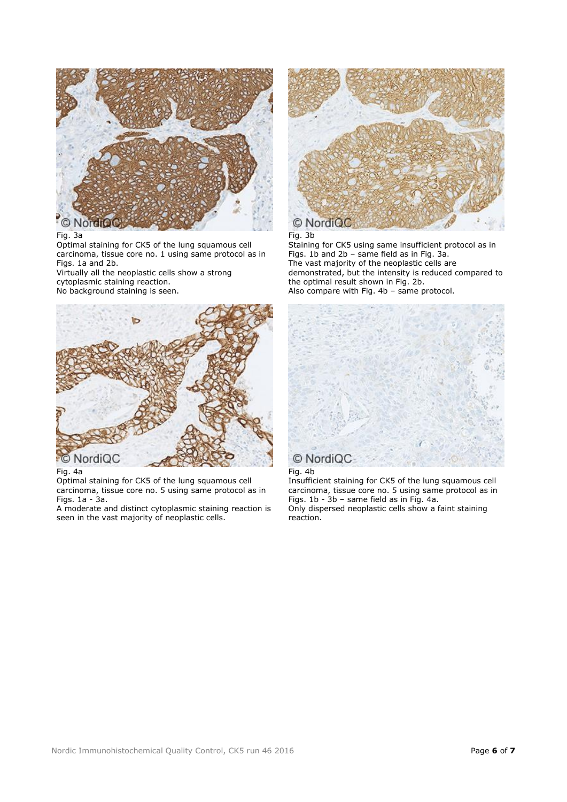

#### Fig. 3a

Optimal staining for CK5 of the lung squamous cell carcinoma, tissue core no. 1 using same protocol as in Figs. 1a and 2b.

Virtually all the neoplastic cells show a strong cytoplasmic staining reaction.

No background staining is seen.



Fig. 4a

Optimal staining for CK5 of the lung squamous cell carcinoma, tissue core no. 5 using same protocol as in Figs. 1a - 3a.

A moderate and distinct cytoplasmic staining reaction is seen in the vast majority of neoplastic cells.



### Fig. 3b

Staining for CK5 using same insufficient protocol as in Figs. 1b and 2b – same field as in Fig. 3a. The vast majority of the neoplastic cells are demonstrated, but the intensity is reduced compared to the optimal result shown in Fig. 2b. Also compare with Fig. 4b – same protocol.





Insufficient staining for CK5 of the lung squamous cell carcinoma, tissue core no. 5 using same protocol as in Figs. 1b - 3b – same field as in Fig. 4a. Only dispersed neoplastic cells show a faint staining reaction.